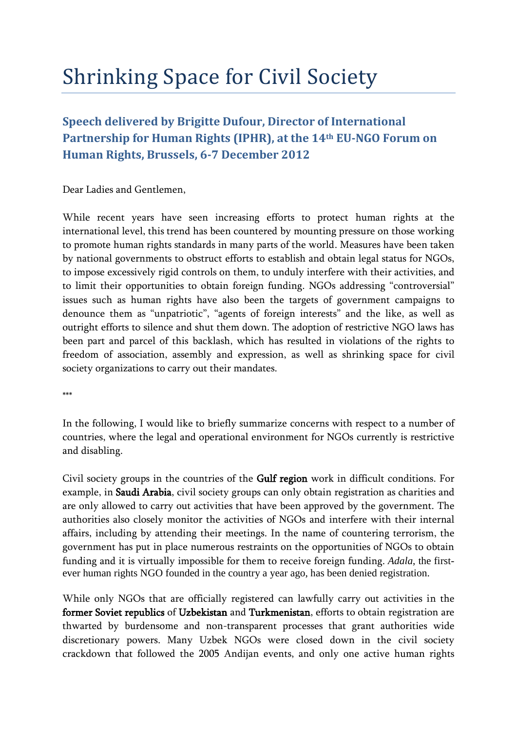## Shrinking Space for Civil Society

## **Speech delivered by Brigitte Dufour, Director of International Partnership for Human Rights (IPHR), at the 14th EU-NGO Forum on Human Rights, Brussels, 6-7 December 2012**

Dear Ladies and Gentlemen,

While recent years have seen increasing efforts to protect human rights at the international level, this trend has been countered by mounting pressure on those working to promote human rights standards in many parts of the world. Measures have been taken by national governments to obstruct efforts to establish and obtain legal status for NGOs, to impose excessively rigid controls on them, to unduly interfere with their activities, and to limit their opportunities to obtain foreign funding. NGOs addressing "controversial" issues such as human rights have also been the targets of government campaigns to denounce them as "unpatriotic", "agents of foreign interests" and the like, as well as outright efforts to silence and shut them down. The adoption of restrictive NGO laws has been part and parcel of this backlash, which has resulted in violations of the rights to freedom of association, assembly and expression, as well as shrinking space for civil society organizations to carry out their mandates.

\*\*\*

In the following, I would like to briefly summarize concerns with respect to a number of countries, where the legal and operational environment for NGOs currently is restrictive and disabling.

Civil society groups in the countries of the Gulf region work in difficult conditions. For example, in Saudi Arabia, civil society groups can only obtain registration as charities and are only allowed to carry out activities that have been approved by the government. The authorities also closely monitor the activities of NGOs and interfere with their internal affairs, including by attending their meetings. In the name of countering terrorism, the government has put in place numerous restraints on the opportunities of NGOs to obtain funding and it is virtually impossible for them to receive foreign funding. *Adala*, the firstever human rights NGO founded in the country a year ago, has been denied registration.

While only NGOs that are officially registered can lawfully carry out activities in the former Soviet republics of Uzbekistan and Turkmenistan, efforts to obtain registration are thwarted by burdensome and non-transparent processes that grant authorities wide discretionary powers. Many Uzbek NGOs were closed down in the civil society crackdown that followed the 2005 Andijan events, and only one active human rights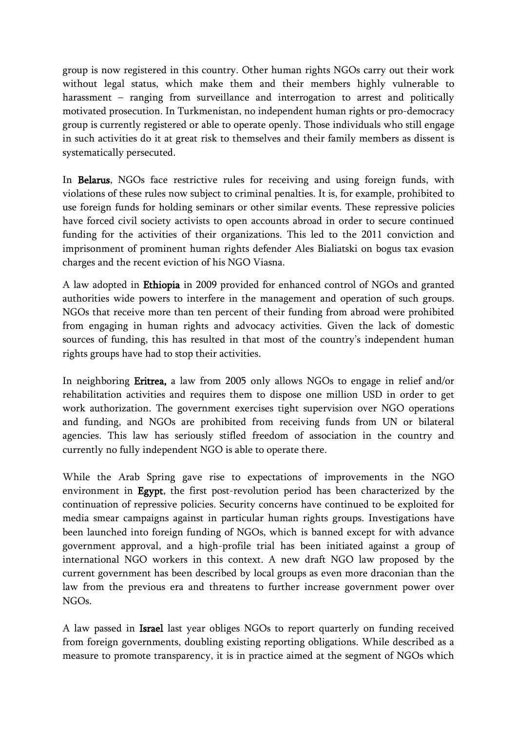group is now registered in this country. Other human rights NGOs carry out their work without legal status, which make them and their members highly vulnerable to harassment – ranging from surveillance and interrogation to arrest and politically motivated prosecution. In Turkmenistan, no independent human rights or pro-democracy group is currently registered or able to operate openly. Those individuals who still engage in such activities do it at great risk to themselves and their family members as dissent is systematically persecuted.

In Belarus, NGOs face restrictive rules for receiving and using foreign funds, with violations of these rules now subject to criminal penalties. It is, for example, prohibited to use foreign funds for holding seminars or other similar events. These repressive policies have forced civil society activists to open accounts abroad in order to secure continued funding for the activities of their organizations. This led to the 2011 conviction and imprisonment of prominent human rights defender Ales Bialiatski on bogus tax evasion charges and the recent eviction of his NGO Viasna.

A law adopted in Ethiopia in 2009 provided for enhanced control of NGOs and granted authorities wide powers to interfere in the management and operation of such groups. NGOs that receive more than ten percent of their funding from abroad were prohibited from engaging in human rights and advocacy activities. Given the lack of domestic sources of funding, this has resulted in that most of the country's independent human rights groups have had to stop their activities.

In neighboring Eritrea, a law from 2005 only allows NGOs to engage in relief and/or rehabilitation activities and requires them to dispose one million USD in order to get work authorization. The government exercises tight supervision over NGO operations and funding, and NGOs are prohibited from receiving funds from UN or bilateral agencies. This law has seriously stifled freedom of association in the country and currently no fully independent NGO is able to operate there.

While the Arab Spring gave rise to expectations of improvements in the NGO environment in Egypt, the first post-revolution period has been characterized by the continuation of repressive policies. Security concerns have continued to be exploited for media smear campaigns against in particular human rights groups. Investigations have been launched into foreign funding of NGOs, which is banned except for with advance government approval, and a high-profile trial has been initiated against a group of international NGO workers in this context. A new draft NGO law proposed by the current government has been described by local groups as even more draconian than the law from the previous era and threatens to further increase government power over NGOs.

A law passed in Israel last year obliges NGOs to report quarterly on funding received from foreign governments, doubling existing reporting obligations. While described as a measure to promote transparency, it is in practice aimed at the segment of NGOs which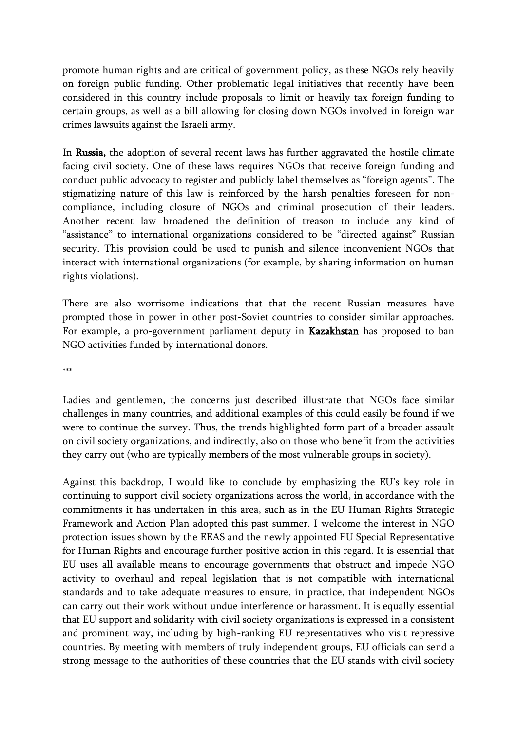promote human rights and are critical of government policy, as these NGOs rely heavily on foreign public funding. Other problematic legal initiatives that recently have been considered in this country include proposals to limit or heavily tax foreign funding to certain groups, as well as a bill allowing for closing down NGOs involved in foreign war crimes lawsuits against the Israeli army.

In Russia, the adoption of several recent laws has further aggravated the hostile climate facing civil society. One of these laws requires NGOs that receive foreign funding and conduct public advocacy to register and publicly label themselves as "foreign agents". The stigmatizing nature of this law is reinforced by the harsh penalties foreseen for noncompliance, including closure of NGOs and criminal prosecution of their leaders. Another recent law broadened the definition of treason to include any kind of "assistance" to international organizations considered to be "directed against" Russian security. This provision could be used to punish and silence inconvenient NGOs that interact with international organizations (for example, by sharing information on human rights violations).

There are also worrisome indications that that the recent Russian measures have prompted those in power in other post-Soviet countries to consider similar approaches. For example, a pro-government parliament deputy in Kazakhstan has proposed to ban NGO activities funded by international donors.

\*\*\*

Ladies and gentlemen, the concerns just described illustrate that NGOs face similar challenges in many countries, and additional examples of this could easily be found if we were to continue the survey. Thus, the trends highlighted form part of a broader assault on civil society organizations, and indirectly, also on those who benefit from the activities they carry out (who are typically members of the most vulnerable groups in society).

Against this backdrop, I would like to conclude by emphasizing the EU's key role in continuing to support civil society organizations across the world, in accordance with the commitments it has undertaken in this area, such as in the EU Human Rights Strategic Framework and Action Plan adopted this past summer. I welcome the interest in NGO protection issues shown by the EEAS and the newly appointed EU Special Representative for Human Rights and encourage further positive action in this regard. It is essential that EU uses all available means to encourage governments that obstruct and impede NGO activity to overhaul and repeal legislation that is not compatible with international standards and to take adequate measures to ensure, in practice, that independent NGOs can carry out their work without undue interference or harassment. It is equally essential that EU support and solidarity with civil society organizations is expressed in a consistent and prominent way, including by high-ranking EU representatives who visit repressive countries. By meeting with members of truly independent groups, EU officials can send a strong message to the authorities of these countries that the EU stands with civil society